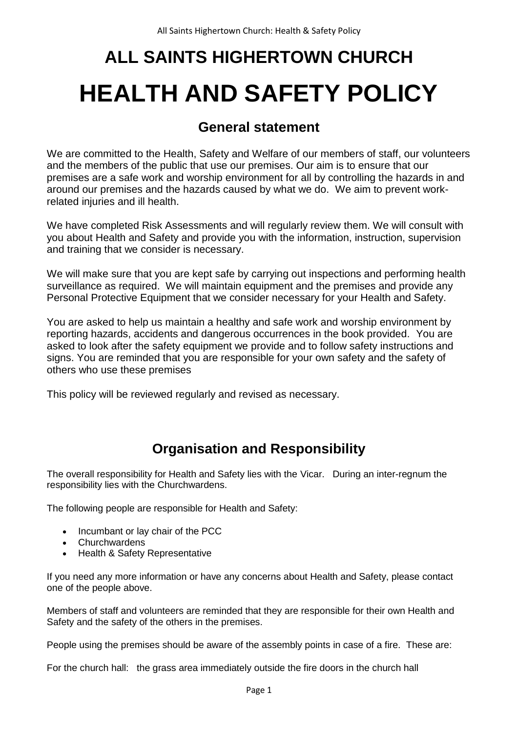# **ALL SAINTS HIGHERTOWN CHURCH HEALTH AND SAFETY POLICY**

## **General statement**

We are committed to the Health, Safety and Welfare of our members of staff, our volunteers and the members of the public that use our premises. Our aim is to ensure that our premises are a safe work and worship environment for all by controlling the hazards in and around our premises and the hazards caused by what we do. We aim to prevent workrelated injuries and ill health.

We have completed Risk Assessments and will regularly review them. We will consult with you about Health and Safety and provide you with the information, instruction, supervision and training that we consider is necessary.

We will make sure that you are kept safe by carrying out inspections and performing health surveillance as required. We will maintain equipment and the premises and provide any Personal Protective Equipment that we consider necessary for your Health and Safety.

You are asked to help us maintain a healthy and safe work and worship environment by reporting hazards, accidents and dangerous occurrences in the book provided. You are asked to look after the safety equipment we provide and to follow safety instructions and signs. You are reminded that you are responsible for your own safety and the safety of others who use these premises

This policy will be reviewed regularly and revised as necessary.

# **Organisation and Responsibility**

The overall responsibility for Health and Safety lies with the Vicar. During an inter-regnum the responsibility lies with the Churchwardens.

The following people are responsible for Health and Safety:

- Incumbant or lay chair of the PCC
- Churchwardens
- Health & Safety Representative

If you need any more information or have any concerns about Health and Safety, please contact one of the people above.

Members of staff and volunteers are reminded that they are responsible for their own Health and Safety and the safety of the others in the premises.

People using the premises should be aware of the assembly points in case of a fire. These are:

For the church hall: the grass area immediately outside the fire doors in the church hall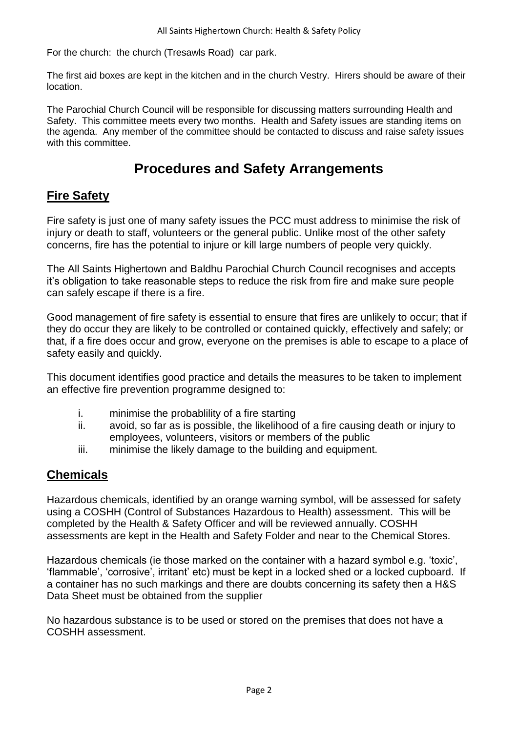For the church: the church (Tresawls Road) car park.

The first aid boxes are kept in the kitchen and in the church Vestry. Hirers should be aware of their location.

The Parochial Church Council will be responsible for discussing matters surrounding Health and Safety. This committee meets every two months. Health and Safety issues are standing items on the agenda. Any member of the committee should be contacted to discuss and raise safety issues with this committee.

# **Procedures and Safety Arrangements**

#### **Fire Safety**

Fire safety is just one of many safety issues the PCC must address to minimise the risk of injury or death to staff, volunteers or the general public. Unlike most of the other safety concerns, fire has the potential to injure or kill large numbers of people very quickly.

The All Saints Highertown and Baldhu Parochial Church Council recognises and accepts it's obligation to take reasonable steps to reduce the risk from fire and make sure people can safely escape if there is a fire.

Good management of fire safety is essential to ensure that fires are unlikely to occur; that if they do occur they are likely to be controlled or contained quickly, effectively and safely; or that, if a fire does occur and grow, everyone on the premises is able to escape to a place of safety easily and quickly.

This document identifies good practice and details the measures to be taken to implement an effective fire prevention programme designed to:

- i. minimise the probablility of a fire starting
- ii. avoid, so far as is possible, the likelihood of a fire causing death or injury to employees, volunteers, visitors or members of the public
- iii. minimise the likely damage to the building and equipment.

#### **Chemicals**

Hazardous chemicals, identified by an orange warning symbol, will be assessed for safety using a COSHH (Control of Substances Hazardous to Health) assessment. This will be completed by the Health & Safety Officer and will be reviewed annually. COSHH assessments are kept in the Health and Safety Folder and near to the Chemical Stores.

Hazardous chemicals (ie those marked on the container with a hazard symbol e.g. 'toxic', 'flammable', 'corrosive', irritant' etc) must be kept in a locked shed or a locked cupboard. If a container has no such markings and there are doubts concerning its safety then a H&S Data Sheet must be obtained from the supplier

No hazardous substance is to be used or stored on the premises that does not have a COSHH assessment.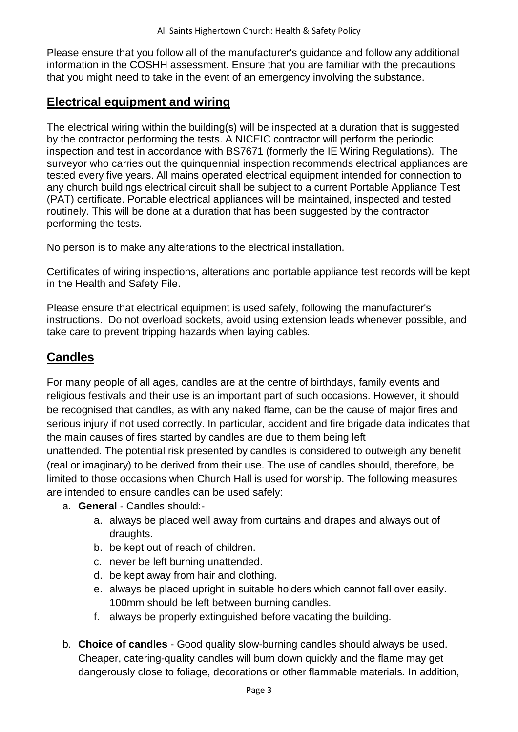Please ensure that you follow all of the manufacturer's guidance and follow any additional information in the COSHH assessment. Ensure that you are familiar with the precautions that you might need to take in the event of an emergency involving the substance.

## **Electrical equipment and wiring**

The electrical wiring within the building(s) will be inspected at a duration that is suggested by the contractor performing the tests. A NICEIC contractor will perform the periodic inspection and test in accordance with BS7671 (formerly the IE Wiring Regulations). The surveyor who carries out the quinquennial inspection recommends electrical appliances are tested every five years. All mains operated electrical equipment intended for connection to any church buildings electrical circuit shall be subject to a current Portable Appliance Test (PAT) certificate. Portable electrical appliances will be maintained, inspected and tested routinely. This will be done at a duration that has been suggested by the contractor performing the tests.

No person is to make any alterations to the electrical installation.

Certificates of wiring inspections, alterations and portable appliance test records will be kept in the Health and Safety File.

Please ensure that electrical equipment is used safely, following the manufacturer's instructions. Do not overload sockets, avoid using extension leads whenever possible, and take care to prevent tripping hazards when laying cables.

## **Candles**

For many people of all ages, candles are at the centre of birthdays, family events and religious festivals and their use is an important part of such occasions. However, it should be recognised that candles, as with any naked flame, can be the cause of major fires and serious injury if not used correctly. In particular, accident and fire brigade data indicates that the main causes of fires started by candles are due to them being left unattended. The potential risk presented by candles is considered to outweigh any benefit (real or imaginary) to be derived from their use. The use of candles should, therefore, be

limited to those occasions when Church Hall is used for worship. The following measures are intended to ensure candles can be used safely:

- a. **General** Candles should:
	- a. always be placed well away from curtains and drapes and always out of draughts.
	- b. be kept out of reach of children.
	- c. never be left burning unattended.
	- d. be kept away from hair and clothing.
	- e. always be placed upright in suitable holders which cannot fall over easily. 100mm should be left between burning candles.
	- f. always be properly extinguished before vacating the building.
- b. **Choice of candles**  Good quality slow-burning candles should always be used. Cheaper, catering-quality candles will burn down quickly and the flame may get dangerously close to foliage, decorations or other flammable materials. In addition,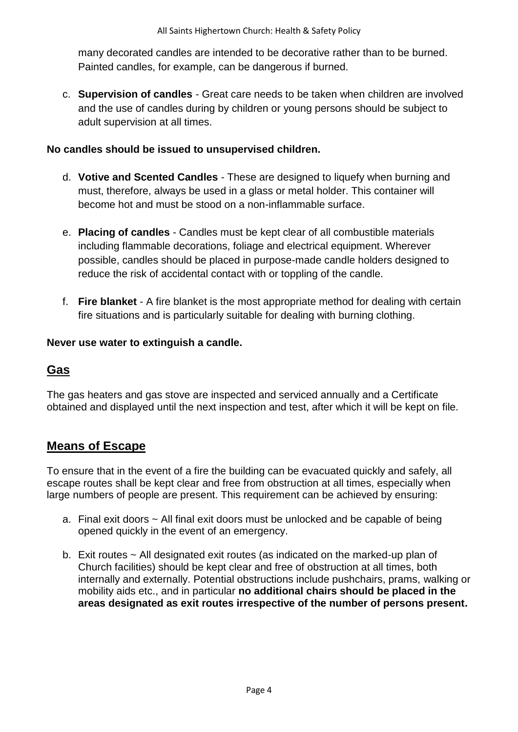many decorated candles are intended to be decorative rather than to be burned. Painted candles, for example, can be dangerous if burned.

c. **Supervision of candles** - Great care needs to be taken when children are involved and the use of candles during by children or young persons should be subject to adult supervision at all times.

#### **No candles should be issued to unsupervised children.**

- d. **Votive and Scented Candles** These are designed to liquefy when burning and must, therefore, always be used in a glass or metal holder. This container will become hot and must be stood on a non-inflammable surface.
- e. **Placing of candles** Candles must be kept clear of all combustible materials including flammable decorations, foliage and electrical equipment. Wherever possible, candles should be placed in purpose-made candle holders designed to reduce the risk of accidental contact with or toppling of the candle.
- f. **Fire blanket** A fire blanket is the most appropriate method for dealing with certain fire situations and is particularly suitable for dealing with burning clothing.

#### **Never use water to extinguish a candle.**

## **Gas**

The gas heaters and gas stove are inspected and serviced annually and a Certificate obtained and displayed until the next inspection and test, after which it will be kept on file.

## **Means of Escape**

To ensure that in the event of a fire the building can be evacuated quickly and safely, all escape routes shall be kept clear and free from obstruction at all times, especially when large numbers of people are present. This requirement can be achieved by ensuring:

- a. Final exit doors ~ All final exit doors must be unlocked and be capable of being opened quickly in the event of an emergency.
- b. Exit routes ~ All designated exit routes (as indicated on the marked-up plan of Church facilities) should be kept clear and free of obstruction at all times, both internally and externally. Potential obstructions include pushchairs, prams, walking or mobility aids etc., and in particular **no additional chairs should be placed in the areas designated as exit routes irrespective of the number of persons present.**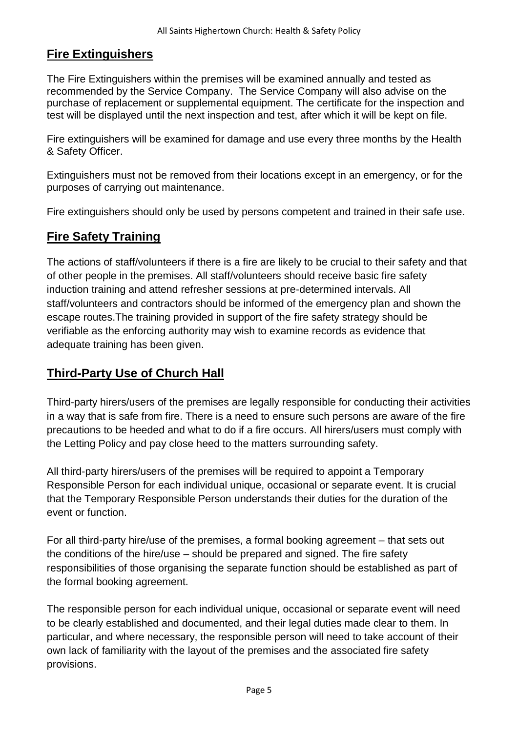## **Fire Extinguishers**

The Fire Extinguishers within the premises will be examined annually and tested as recommended by the Service Company. The Service Company will also advise on the purchase of replacement or supplemental equipment. The certificate for the inspection and test will be displayed until the next inspection and test, after which it will be kept on file.

Fire extinguishers will be examined for damage and use every three months by the Health & Safety Officer.

Extinguishers must not be removed from their locations except in an emergency, or for the purposes of carrying out maintenance.

Fire extinguishers should only be used by persons competent and trained in their safe use.

## **Fire Safety Training**

The actions of staff/volunteers if there is a fire are likely to be crucial to their safety and that of other people in the premises. All staff/volunteers should receive basic fire safety induction training and attend refresher sessions at pre-determined intervals. All staff/volunteers and contractors should be informed of the emergency plan and shown the escape routes.The training provided in support of the fire safety strategy should be verifiable as the enforcing authority may wish to examine records as evidence that adequate training has been given.

## **Third-Party Use of Church Hall**

Third-party hirers/users of the premises are legally responsible for conducting their activities in a way that is safe from fire. There is a need to ensure such persons are aware of the fire precautions to be heeded and what to do if a fire occurs. All hirers/users must comply with the Letting Policy and pay close heed to the matters surrounding safety.

All third-party hirers/users of the premises will be required to appoint a Temporary Responsible Person for each individual unique, occasional or separate event. It is crucial that the Temporary Responsible Person understands their duties for the duration of the event or function.

For all third-party hire/use of the premises, a formal booking agreement – that sets out the conditions of the hire/use – should be prepared and signed. The fire safety responsibilities of those organising the separate function should be established as part of the formal booking agreement.

The responsible person for each individual unique, occasional or separate event will need to be clearly established and documented, and their legal duties made clear to them. In particular, and where necessary, the responsible person will need to take account of their own lack of familiarity with the layout of the premises and the associated fire safety provisions.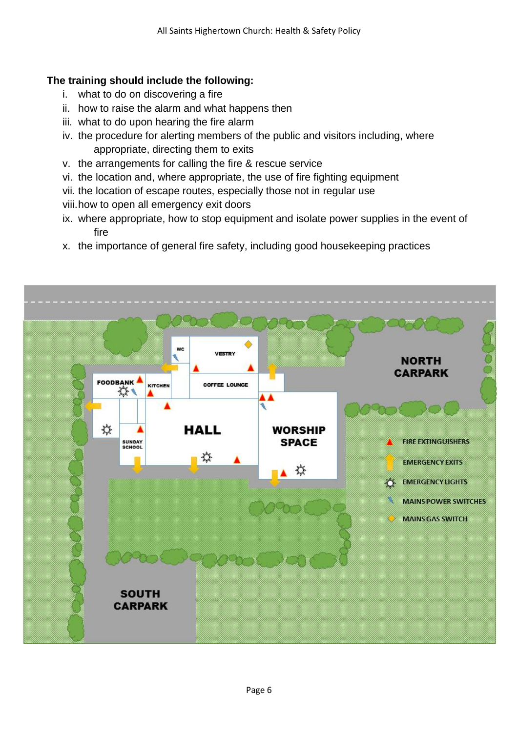#### **The training should include the following:**

- i. what to do on discovering a fire
- ii. how to raise the alarm and what happens then
- iii. what to do upon hearing the fire alarm
- iv. the procedure for alerting members of the public and visitors including, where appropriate, directing them to exits
- v. the arrangements for calling the fire & rescue service
- vi. the location and, where appropriate, the use of fire fighting equipment
- vii. the location of escape routes, especially those not in regular use
- viii.how to open all emergency exit doors
- ix. where appropriate, how to stop equipment and isolate power supplies in the event of fire
- x. the importance of general fire safety, including good housekeeping practices

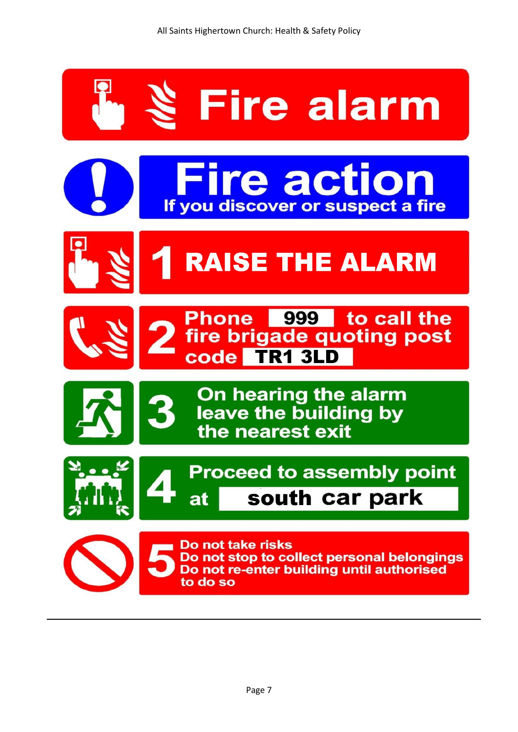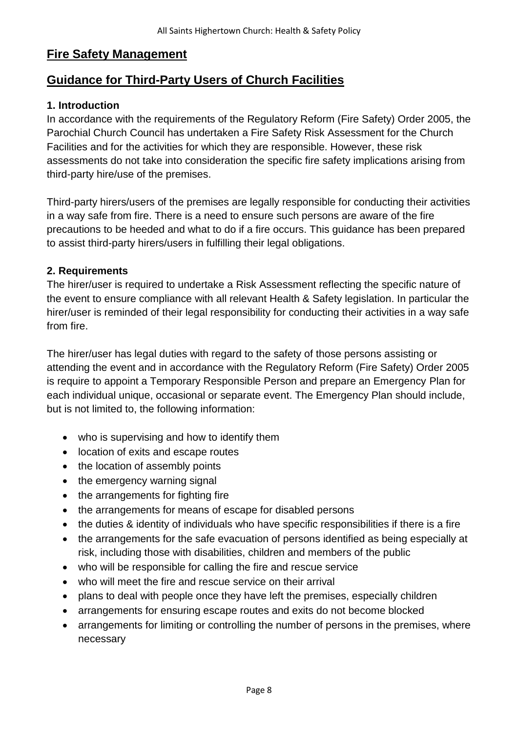## **Fire Safety Management**

## **Guidance for Third-Party Users of Church Facilities**

#### **1. Introduction**

In accordance with the requirements of the Regulatory Reform (Fire Safety) Order 2005, the Parochial Church Council has undertaken a Fire Safety Risk Assessment for the Church Facilities and for the activities for which they are responsible. However, these risk assessments do not take into consideration the specific fire safety implications arising from third-party hire/use of the premises.

Third-party hirers/users of the premises are legally responsible for conducting their activities in a way safe from fire. There is a need to ensure such persons are aware of the fire precautions to be heeded and what to do if a fire occurs. This guidance has been prepared to assist third-party hirers/users in fulfilling their legal obligations.

#### **2. Requirements**

The hirer/user is required to undertake a Risk Assessment reflecting the specific nature of the event to ensure compliance with all relevant Health & Safety legislation. In particular the hirer/user is reminded of their legal responsibility for conducting their activities in a way safe from fire.

The hirer/user has legal duties with regard to the safety of those persons assisting or attending the event and in accordance with the Regulatory Reform (Fire Safety) Order 2005 is require to appoint a Temporary Responsible Person and prepare an Emergency Plan for each individual unique, occasional or separate event. The Emergency Plan should include, but is not limited to, the following information:

- who is supervising and how to identify them
- location of exits and escape routes
- the location of assembly points
- the emergency warning signal
- the arrangements for fighting fire
- the arrangements for means of escape for disabled persons
- the duties & identity of individuals who have specific responsibilities if there is a fire
- the arrangements for the safe evacuation of persons identified as being especially at risk, including those with disabilities, children and members of the public
- who will be responsible for calling the fire and rescue service
- who will meet the fire and rescue service on their arrival
- plans to deal with people once they have left the premises, especially children
- arrangements for ensuring escape routes and exits do not become blocked
- arrangements for limiting or controlling the number of persons in the premises, where necessary